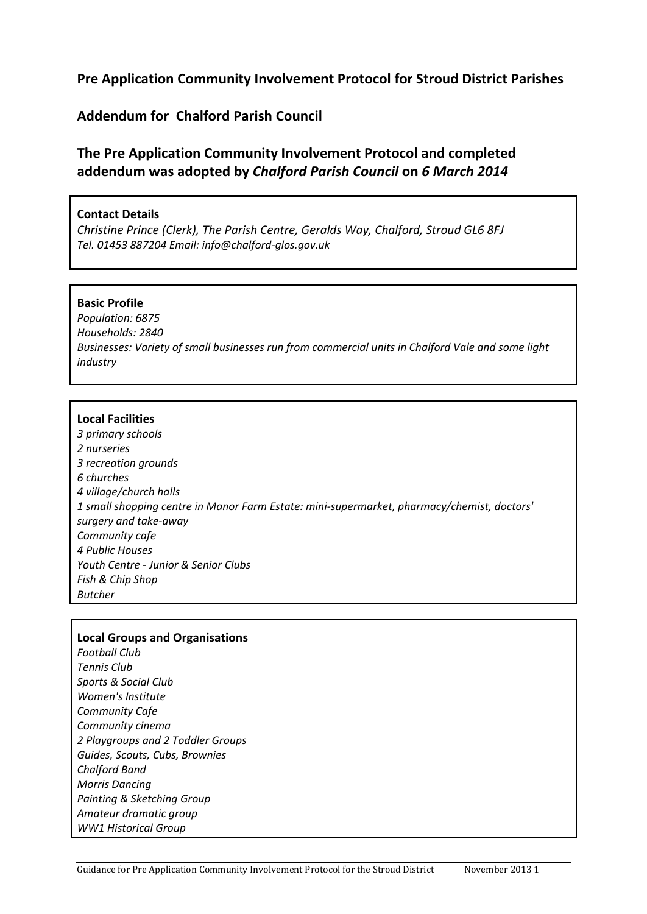# **Pre Application Community Involvement Protocol for Stroud District Parishes**

## **Addendum for Chalford Parish Council**

# **The Pre Application Community Involvement Protocol and completed addendum was adopted by** *Chalford Parish Council* **on** *6 March 2014*

## **Contact Details**

*Christine Prince (Clerk), The Parish Centre, Geralds Way, Chalford, Stroud GL6 8FJ Tel. 01453 887204 Email: info@chalford-glos.gov.uk*

#### **Basic Profile**

*Population: 6875 Households: 2840 Businesses: Variety of small businesses run from commercial units in Chalford Vale and some light industry* 

## **Local Facilities**

*3 primary schools 2 nurseries 3 recreation grounds 6 churches 4 village/church halls 1 small shopping centre in Manor Farm Estate: mini-supermarket, pharmacy/chemist, doctors' surgery and take-away Community cafe 4 Public Houses Youth Centre - Junior & Senior Clubs Fish & Chip Shop Butcher*

#### **Local Groups and Organisations**

*Football Club Tennis Club Sports & Social Club Women's Institute Community Cafe Community cinema 2 Playgroups and 2 Toddler Groups Guides, Scouts, Cubs, Brownies Chalford Band Morris Dancing Painting & Sketching Group Amateur dramatic group WW1 Historical Group*